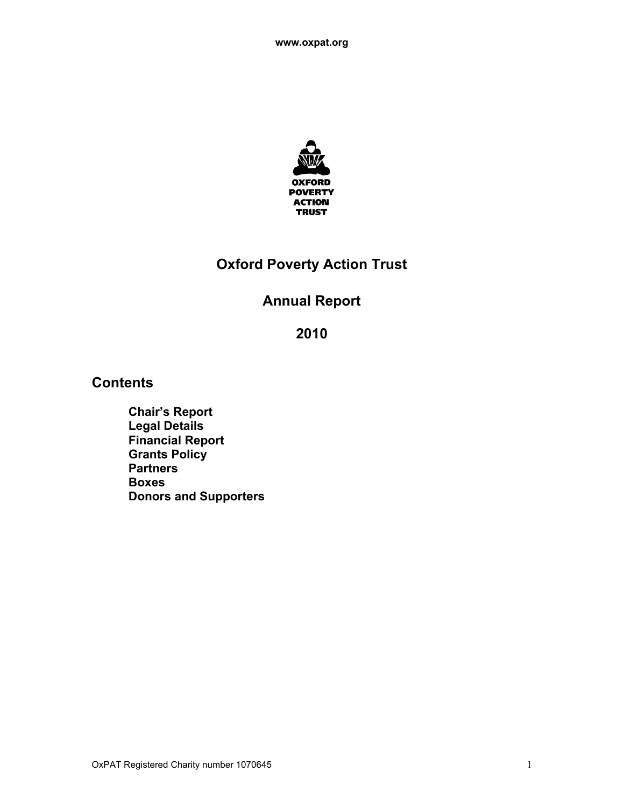

# **Oxford Poverty Action Trust**

# **Annual Report**

**2010**

# **Contents**

**Chair's Report Legal Details Financial Report Grants Policy Partners Boxes Donors and Supporters**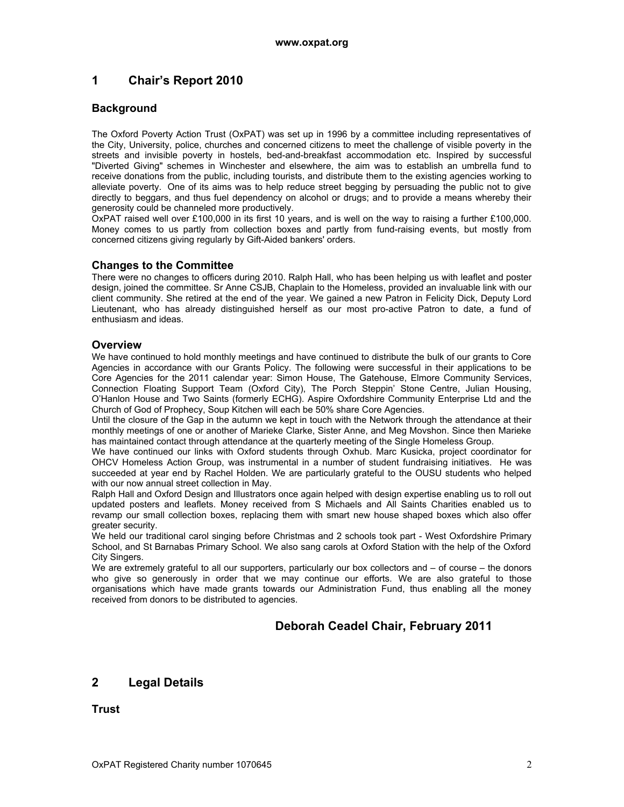# **1 Chair's Report 2010**

## **Background**

The Oxford Poverty Action Trust (OxPAT) was set up in 1996 by a committee including representatives of the City, University, police, churches and concerned citizens to meet the challenge of visible poverty in the streets and invisible poverty in hostels, bed-and-breakfast accommodation etc. Inspired by successful "Diverted Giving" schemes in Winchester and elsewhere, the aim was to establish an umbrella fund to receive donations from the public, including tourists, and distribute them to the existing agencies working to alleviate poverty. One of its aims was to help reduce street begging by persuading the public not to give directly to beggars, and thus fuel dependency on alcohol or drugs; and to provide a means whereby their generosity could be channeled more productively.

OxPAT raised well over £100,000 in its first 10 years, and is well on the way to raising a further £100,000. Money comes to us partly from collection boxes and partly from fund-raising events, but mostly from concerned citizens giving regularly by Gift-Aided bankers' orders.

## **Changes to the Committee**

There were no changes to officers during 2010. Ralph Hall, who has been helping us with leaflet and poster design, joined the committee. Sr Anne CSJB, Chaplain to the Homeless, provided an invaluable link with our client community. She retired at the end of the year. We gained a new Patron in Felicity Dick, Deputy Lord Lieutenant, who has already distinguished herself as our most pro-active Patron to date, a fund of enthusiasm and ideas.

## **Overview**

We have continued to hold monthly meetings and have continued to distribute the bulk of our grants to Core Agencies in accordance with our Grants Policy. The following were successful in their applications to be Core Agencies for the 2011 calendar year: Simon House, The Gatehouse, Elmore Community Services, Connection Floating Support Team (Oxford City), The Porch Steppin' Stone Centre, Julian Housing, O'Hanlon House and Two Saints (formerly ECHG). Aspire Oxfordshire Community Enterprise Ltd and the Church of God of Prophecy, Soup Kitchen will each be 50% share Core Agencies.

Until the closure of the Gap in the autumn we kept in touch with the Network through the attendance at their monthly meetings of one or another of Marieke Clarke, Sister Anne, and Meg Movshon. Since then Marieke has maintained contact through attendance at the quarterly meeting of the Single Homeless Group.

We have continued our links with Oxford students through Oxhub. Marc Kusicka, project coordinator for OHCV Homeless Action Group, was instrumental in a number of student fundraising initiatives. He was succeeded at year end by Rachel Holden. We are particularly grateful to the OUSU students who helped with our now annual street collection in May.

Ralph Hall and Oxford Design and Illustrators once again helped with design expertise enabling us to roll out updated posters and leaflets. Money received from S Michaels and All Saints Charities enabled us to revamp our small collection boxes, replacing them with smart new house shaped boxes which also offer greater security.

We held our traditional carol singing before Christmas and 2 schools took part - West Oxfordshire Primary School, and St Barnabas Primary School. We also sang carols at Oxford Station with the help of the Oxford City Singers.

We are extremely grateful to all our supporters, particularly our box collectors and – of course – the donors who give so generously in order that we may continue our efforts. We are also grateful to those organisations which have made grants towards our Administration Fund, thus enabling all the money received from donors to be distributed to agencies.

# **Deborah Ceadel Chair, February 2011**

# **2 Legal Details**

**Trust**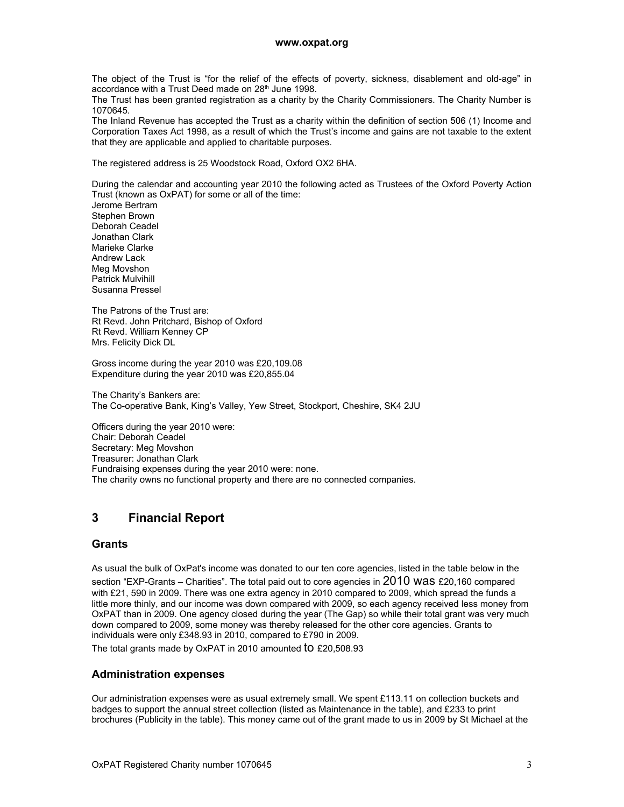The obiect of the Trust is "for the relief of the effects of poverty, sickness, disablement and old-age" in accordance with a Trust Deed made on 28<sup>th</sup> June 1998.

The Trust has been granted registration as a charity by the Charity Commissioners. The Charity Number is 1070645.

The Inland Revenue has accepted the Trust as a charity within the definition of section 506 (1) Income and Corporation Taxes Act 1998, as a result of which the Trust's income and gains are not taxable to the extent that they are applicable and applied to charitable purposes.

The registered address is 25 Woodstock Road, Oxford OX2 6HA.

During the calendar and accounting year 2010 the following acted as Trustees of the Oxford Poverty Action Trust (known as OxPAT) for some or all of the time:

Jerome Bertram Stephen Brown Deborah Ceadel Jonathan Clark Marieke Clarke Andrew Lack Meg Movshon Patrick Mulvihill Susanna Pressel

The Patrons of the Trust are: Rt Revd. John Pritchard, Bishop of Oxford Rt Revd. William Kenney CP Mrs. Felicity Dick DL

Gross income during the year 2010 was £20,109.08 Expenditure during the year 2010 was £20,855.04

The Charity's Bankers are: The Co-operative Bank, King's Valley, Yew Street, Stockport, Cheshire, SK4 2JU

Officers during the year 2010 were: Chair: Deborah Ceadel Secretary: Meg Movshon Treasurer: Jonathan Clark Fundraising expenses during the year 2010 were: none. The charity owns no functional property and there are no connected companies.

# **3 Financial Report**

#### **Grants**

As usual the bulk of OxPat's income was donated to our ten core agencies, listed in the table below in the section "EXP-Grants – Charities". The total paid out to core agencies in  $2010$  WaS £20,160 compared with £21, 590 in 2009. There was one extra agency in 2010 compared to 2009, which spread the funds a little more thinly, and our income was down compared with 2009, so each agency received less money from OxPAT than in 2009. One agency closed during the year (The Gap) so while their total grant was very much down compared to 2009, some money was thereby released for the other core agencies. Grants to individuals were only £348.93 in 2010, compared to £790 in 2009.

The total grants made by OxPAT in 2010 amounted **tO** £20,508,93

#### **Administration expenses**

Our administration expenses were as usual extremely small. We spent £113.11 on collection buckets and badges to support the annual street collection (listed as Maintenance in the table), and £233 to print brochures (Publicity in the table). This money came out of the grant made to us in 2009 by St Michael at the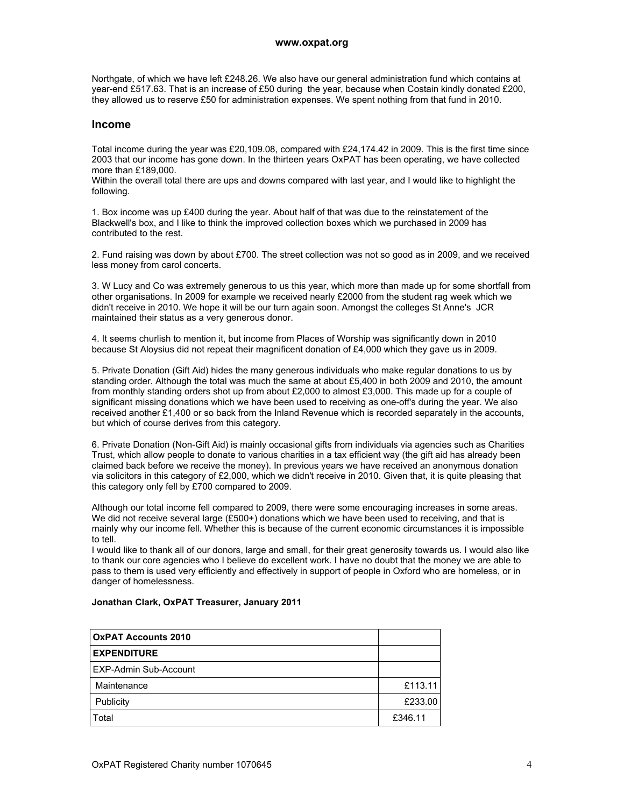Northgate, of which we have left £248.26. We also have our general administration fund which contains at year-end £517.63. That is an increase of £50 during the year, because when Costain kindly donated £200, they allowed us to reserve £50 for administration expenses. We spent nothing from that fund in 2010.

#### **Income**

Total income during the year was £20,109.08, compared with £24,174.42 in 2009. This is the first time since 2003 that our income has gone down. In the thirteen years OxPAT has been operating, we have collected more than £189,000.

Within the overall total there are ups and downs compared with last year, and I would like to highlight the following.

1. Box income was up £400 during the year. About half of that was due to the reinstatement of the Blackwell's box, and I like to think the improved collection boxes which we purchased in 2009 has contributed to the rest.

2. Fund raising was down by about £700. The street collection was not so good as in 2009, and we received less money from carol concerts.

3. W Lucy and Co was extremely generous to us this year, which more than made up for some shortfall from other organisations. In 2009 for example we received nearly £2000 from the student rag week which we didn't receive in 2010. We hope it will be our turn again soon. Amongst the colleges St Anne's JCR maintained their status as a very generous donor.

4. It seems churlish to mention it, but income from Places of Worship was significantly down in 2010 because St Aloysius did not repeat their magnificent donation of £4,000 which they gave us in 2009.

5. Private Donation (Gift Aid) hides the many generous individuals who make regular donations to us by standing order. Although the total was much the same at about £5,400 in both 2009 and 2010, the amount from monthly standing orders shot up from about £2,000 to almost £3,000. This made up for a couple of significant missing donations which we have been used to receiving as one-off's during the year. We also received another £1,400 or so back from the Inland Revenue which is recorded separately in the accounts, but which of course derives from this category.

6. Private Donation (Non-Gift Aid) is mainly occasional gifts from individuals via agencies such as Charities Trust, which allow people to donate to various charities in a tax efficient way (the gift aid has already been claimed back before we receive the money). In previous years we have received an anonymous donation via solicitors in this category of £2,000, which we didn't receive in 2010. Given that, it is quite pleasing that this category only fell by £700 compared to 2009.

Although our total income fell compared to 2009, there were some encouraging increases in some areas. We did not receive several large (£500+) donations which we have been used to receiving, and that is mainly why our income fell. Whether this is because of the current economic circumstances it is impossible to tell.

I would like to thank all of our donors, large and small, for their great generosity towards us. I would also like to thank our core agencies who I believe do excellent work. I have no doubt that the money we are able to pass to them is used very efficiently and effectively in support of people in Oxford who are homeless, or in danger of homelessness.

| <b>OXPAT Accounts 2010</b> |         |
|----------------------------|---------|
| <b>EXPENDITURE</b>         |         |
| EXP-Admin Sub-Account      |         |
| Maintenance                | £113.11 |
| Publicity                  | £233.00 |
| Total                      | £346.11 |

#### **Jonathan Clark, OxPAT Treasurer, January 2011**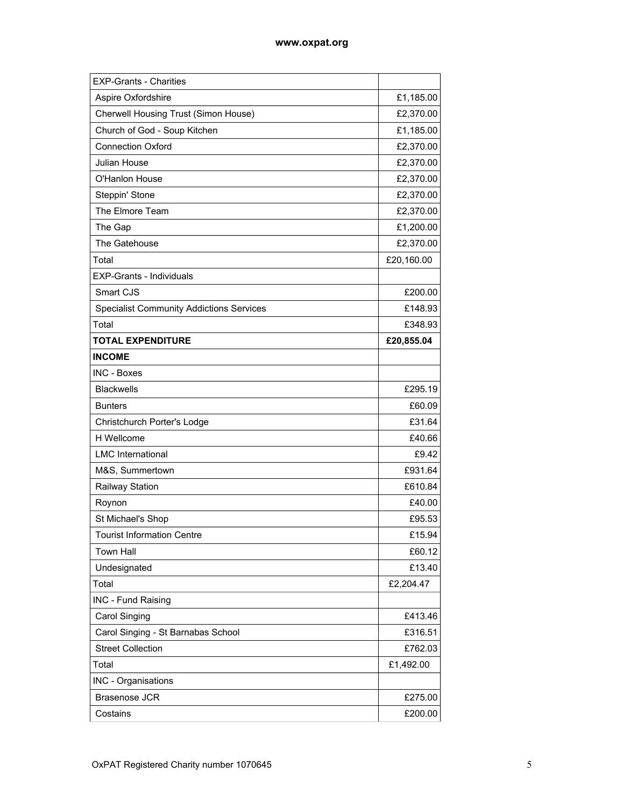| <b>EXP-Grants - Charities</b>                   |            |
|-------------------------------------------------|------------|
| Aspire Oxfordshire                              | £1,185.00  |
| Cherwell Housing Trust (Simon House)            | £2,370.00  |
| Church of God - Soup Kitchen                    | £1,185.00  |
| <b>Connection Oxford</b>                        | £2,370.00  |
| Julian House                                    | £2,370.00  |
| O'Hanlon House                                  | £2,370.00  |
| Steppin' Stone                                  | £2,370.00  |
| The Elmore Team                                 | £2,370.00  |
| The Gap                                         | £1,200.00  |
| The Gatehouse                                   | £2,370.00  |
| Total                                           | £20,160.00 |
| <b>EXP-Grants - Individuals</b>                 |            |
| Smart CJS                                       | £200.00    |
| <b>Specialist Community Addictions Services</b> | £148.93    |
| Total                                           | £348.93    |
| <b>TOTAL EXPENDITURE</b>                        | £20,855.04 |
| <b>INCOME</b>                                   |            |
| <b>INC - Boxes</b>                              |            |
| <b>Blackwells</b>                               | £295.19    |
| <b>Bunters</b>                                  | £60.09     |
| Christchurch Porter's Lodge                     | £31.64     |
| H Wellcome                                      | £40.66     |
| <b>LMC</b> International                        | £9.42      |
| M&S, Summertown                                 | £931.64    |
| Railway Station                                 | £610.84    |
| Roynon                                          | £40.00     |
| St Michael's Shop                               | £95.53     |
| <b>Tourist Information Centre</b>               | £15.94     |
| <b>Town Hall</b>                                | £60.12     |
| Undesignated                                    | £13.40     |
| Total                                           | £2,204.47  |
| INC - Fund Raising                              |            |
| Carol Singing                                   | £413.46    |
| Carol Singing - St Barnabas School              | £316.51    |
| <b>Street Collection</b>                        | £762.03    |
| Total                                           | £1,492.00  |
| INC - Organisations                             |            |
| Brasenose JCR                                   | £275.00    |
| Costains                                        | £200.00    |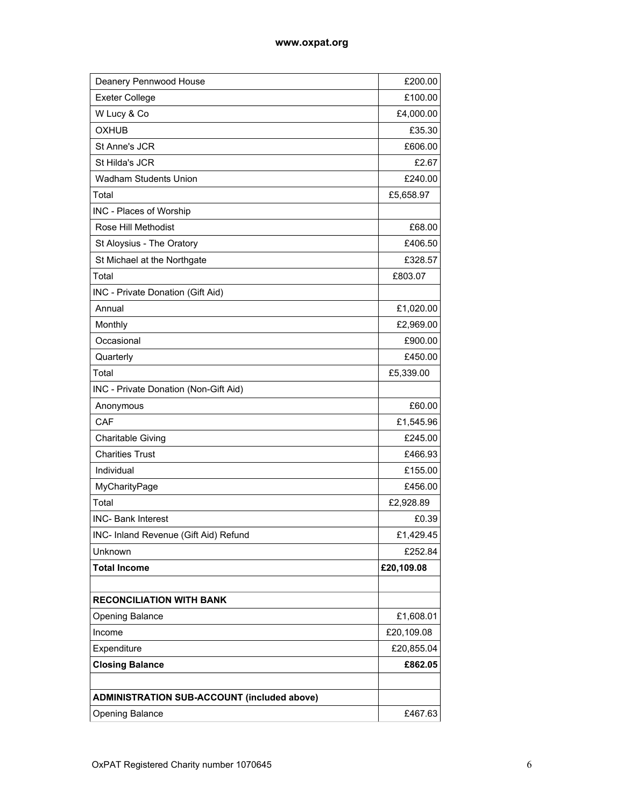| Deanery Pennwood House                             | £200.00    |
|----------------------------------------------------|------------|
| <b>Exeter College</b>                              | £100.00    |
| W Lucy & Co                                        | £4,000.00  |
| <b>OXHUB</b>                                       | £35.30     |
| St Anne's JCR                                      | £606.00    |
| St Hilda's JCR                                     | £2.67      |
| <b>Wadham Students Union</b>                       | £240.00    |
| Total                                              | £5,658.97  |
| INC - Places of Worship                            |            |
| Rose Hill Methodist                                | £68.00     |
| St Aloysius - The Oratory                          | £406.50    |
| St Michael at the Northgate                        | £328.57    |
| Total                                              | £803.07    |
| INC - Private Donation (Gift Aid)                  |            |
| Annual                                             | £1,020.00  |
| Monthly                                            | £2,969.00  |
| Occasional                                         | £900.00    |
| Quarterly                                          | £450.00    |
| Total                                              | £5,339.00  |
| INC - Private Donation (Non-Gift Aid)              |            |
| Anonymous                                          | £60.00     |
| CAF                                                | £1,545.96  |
| <b>Charitable Giving</b>                           | £245.00    |
| <b>Charities Trust</b>                             | £466.93    |
| Individual                                         | £155.00    |
| MyCharityPage                                      | £456.00    |
| Total                                              | £2,928.89  |
| <b>INC- Bank Interest</b>                          | £0.39      |
| INC- Inland Revenue (Gift Aid) Refund              | £1,429.45  |
| Unknown                                            | £252.84    |
| <b>Total Income</b>                                | £20,109.08 |
|                                                    |            |
| <b>RECONCILIATION WITH BANK</b>                    |            |
| Opening Balance                                    | £1,608.01  |
| Income                                             | £20,109.08 |
| Expenditure                                        | £20,855.04 |
| <b>Closing Balance</b>                             | £862.05    |
|                                                    |            |
| <b>ADMINISTRATION SUB-ACCOUNT (included above)</b> |            |
| Opening Balance                                    | £467.63    |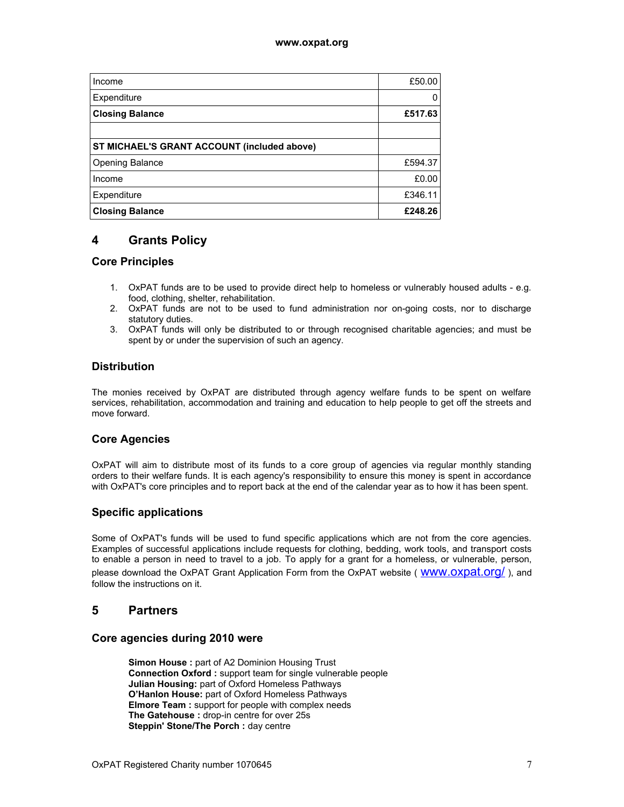| Income                                      | £50.00  |
|---------------------------------------------|---------|
| Expenditure                                 | 0       |
| <b>Closing Balance</b>                      | £517.63 |
|                                             |         |
| ST MICHAEL'S GRANT ACCOUNT (included above) |         |
| Opening Balance                             | £594.37 |
| Income                                      | £0.00   |
| Expenditure                                 | £346.11 |
| <b>Closing Balance</b>                      | £248.26 |

# **4 Grants Policy**

## **Core Principles**

- 1. OxPAT funds are to be used to provide direct help to homeless or vulnerably housed adults e.g. food, clothing, shelter, rehabilitation.
- 2. OxPAT funds are not to be used to fund administration nor on-going costs, nor to discharge statutory duties.
- 3. OxPAT funds will only be distributed to or through recognised charitable agencies; and must be spent by or under the supervision of such an agency.

## **Distribution**

The monies received by OxPAT are distributed through agency welfare funds to be spent on welfare services, rehabilitation, accommodation and training and education to help people to get off the streets and move forward.

## **Core Agencies**

OxPAT will aim to distribute most of its funds to a core group of agencies via regular monthly standing orders to their welfare funds. It is each agency's responsibility to ensure this money is spent in accordance with OxPAT's core principles and to report back at the end of the calendar year as to how it has been spent.

## **Specific applications**

Some of OxPAT's funds will be used to fund specific applications which are not from the core agencies. Examples of successful applications include requests for clothing, bedding, work tools, and transport costs to enable a person in need to travel to a job. To apply for a grant for a homeless, or vulnerable, person, please download the OxPAT Grant Application Form from the OxPAT website (WWW.OXDat.Org/), and follow the instructions on it.

# **5 Partners**

## **Core agencies during 2010 were**

**Simon House :** part of A2 Dominion Housing Trust **Connection Oxford :** support team for single vulnerable people **Julian Housing:** part of Oxford Homeless Pathways **O'Hanlon House:** part of Oxford Homeless Pathways **Elmore Team :** support for people with complex needs **The Gatehouse :** drop-in centre for over 25s **Steppin' Stone/The Porch : day centre**